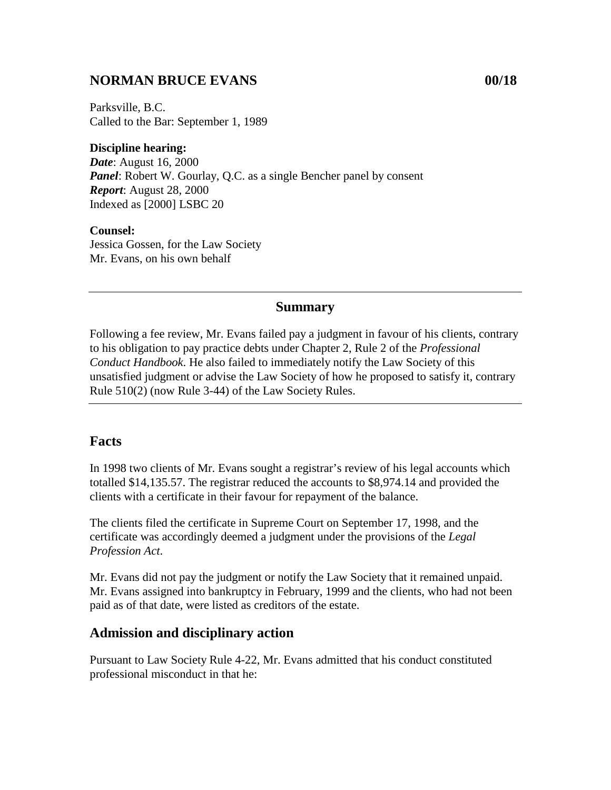# **NORMAN BRUCE EVANS 00/18**

Parksville, B.C. Called to the Bar: September 1, 1989

#### **Discipline hearing:**

*Date*: August 16, 2000 *Panel*: Robert W. Gourlay, Q.C. as a single Bencher panel by consent *Report*: August 28, 2000 Indexed as [2000] LSBC 20

#### **Counsel:**

Jessica Gossen, for the Law Society Mr. Evans, on his own behalf

### **Summary**

Following a fee review, Mr. Evans failed pay a judgment in favour of his clients, contrary to his obligation to pay practice debts under Chapter 2, Rule 2 of the *Professional Conduct Handbook*. He also failed to immediately notify the Law Society of this unsatisfied judgment or advise the Law Society of how he proposed to satisfy it, contrary Rule 510(2) (now Rule 3-44) of the Law Society Rules.

## **Facts**

In 1998 two clients of Mr. Evans sought a registrar's review of his legal accounts which totalled \$14,135.57. The registrar reduced the accounts to \$8,974.14 and provided the clients with a certificate in their favour for repayment of the balance.

The clients filed the certificate in Supreme Court on September 17, 1998, and the certificate was accordingly deemed a judgment under the provisions of the *Legal Profession Act*.

Mr. Evans did not pay the judgment or notify the Law Society that it remained unpaid. Mr. Evans assigned into bankruptcy in February, 1999 and the clients, who had not been paid as of that date, were listed as creditors of the estate.

## **Admission and disciplinary action**

Pursuant to Law Society Rule 4-22, Mr. Evans admitted that his conduct constituted professional misconduct in that he: